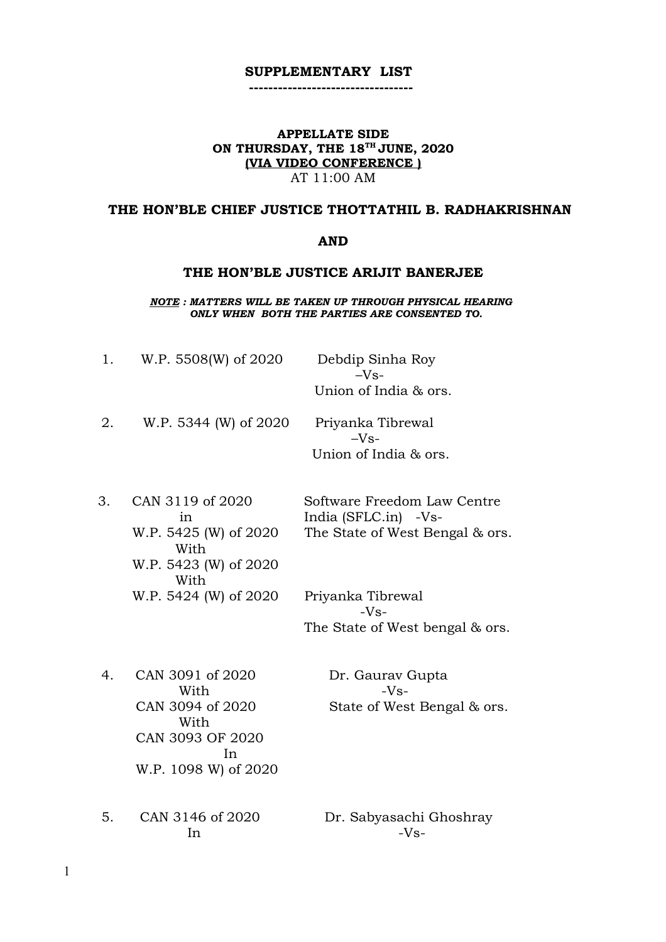### **SUPPLEMENTARY LIST ----------------------------------**

# **APPELLATE SIDE ON THURSDAY, THE 18TH JUNE, 2020 (VIA VIDEO CONFERENCE )**

AT 11:00 AM

# **THE HON'BLE CHIEF JUSTICE THOTTATHIL B. RADHAKRISHNAN**

### **AND**

#### **THE HON'BLE JUSTICE ARIJIT BANERJEE**

*NOTE : MATTERS WILL BE TAKEN UP THROUGH PHYSICAL HEARING ONLY WHEN BOTH THE PARTIES ARE CONSENTED TO.*

| 1. | W.P. 5508(W) of 2020                                                                                   | Debdip Sinha Roy<br>$-Vs-$<br>Union of India & ors.                                    |
|----|--------------------------------------------------------------------------------------------------------|----------------------------------------------------------------------------------------|
| 2. | W.P. 5344 (W) of 2020                                                                                  | Priyanka Tibrewal<br>$-Vs-$<br>Union of India & ors.                                   |
| 3. | CAN 3119 of 2020<br>in<br>W.P. 5425 (W) of 2020<br>With<br>W.P. 5423 (W) of 2020<br>With               | Software Freedom Law Centre<br>India (SFLC.in) -Vs-<br>The State of West Bengal & ors. |
|    | W.P. 5424 (W) of 2020                                                                                  | Priyanka Tibrewal<br>$-Vs-$<br>The State of West bengal & ors.                         |
| 4. | CAN 3091 of 2020<br>With<br>CAN 3094 of 2020<br>With<br>CAN 3093 OF 2020<br>In<br>W.P. 1098 W) of 2020 | Dr. Gaurav Gupta<br>$-Vs-$<br>State of West Bengal & ors.                              |

 $\ln$   $-Vs$ -

5. CAN 3146 of 2020 Dr. Sabyasachi Ghoshray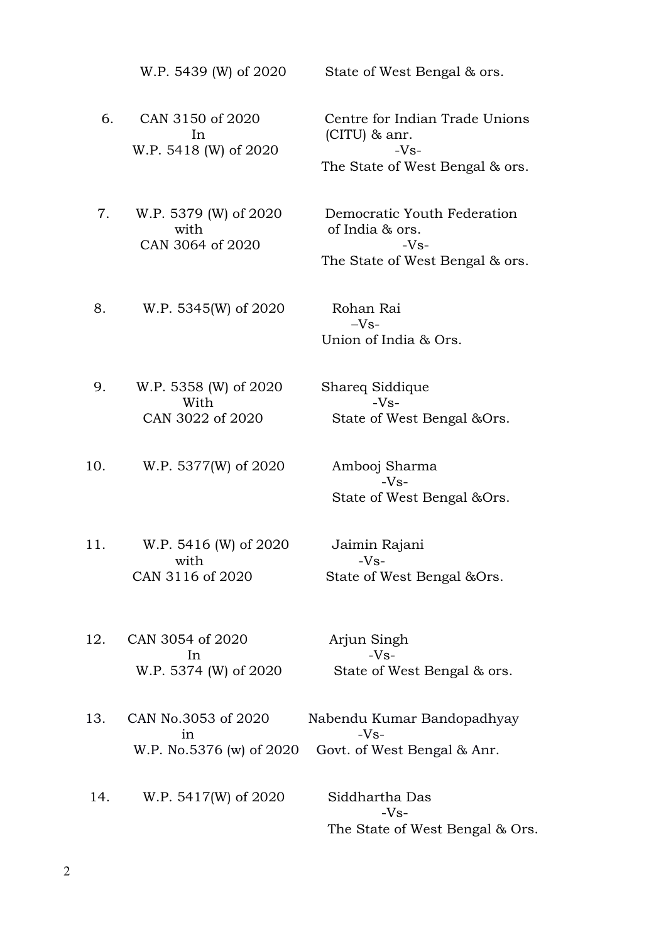W.P. 5439 (W) of 2020 State of West Bengal & ors.

6. CAN 3150 of 2020 Centre for Indian Trade Unions In  $(CITU)$  & anr. W.P. 5418 (W) of 2020 -Vs-

 7. W.P. 5379 (W) of 2020 Democratic Youth Federation with of India & ors. CAN 3064 of 2020 - Vs-

The State of West Bengal & ors.

The State of West Bengal & ors.

8. W.P. 5345(W) of 2020 Rohan Rai

 $-Vs$ -Union of India & Ors.

 9. W.P. 5358 (W) of 2020 Shareq Siddique With  $-**V**s-$ 

CAN 3022 of 2020 State of West Bengal &Ors.

10. W.P. 5377(W) of 2020 Ambooj Sharma

 $-Vs-$ State of West Bengal &Ors.

 11. W.P. 5416 (W) of 2020 Jaimin Rajani with  $-Vs-$ 

CAN 3116 of 2020 State of West Bengal &Ors.

 12. CAN 3054 of 2020 Arjun Singh In  $-Vs$ 

W.P. 5374 (W) of 2020 State of West Bengal & ors.

 13. CAN No.3053 of 2020 Nabendu Kumar Bandopadhyay in  $-Vs$ W.P. No.5376 (w) of 2020 Govt. of West Bengal & Anr.

14. W.P. 5417(W) of 2020 Siddhartha Das

 $-Vs-$ The State of West Bengal & Ors.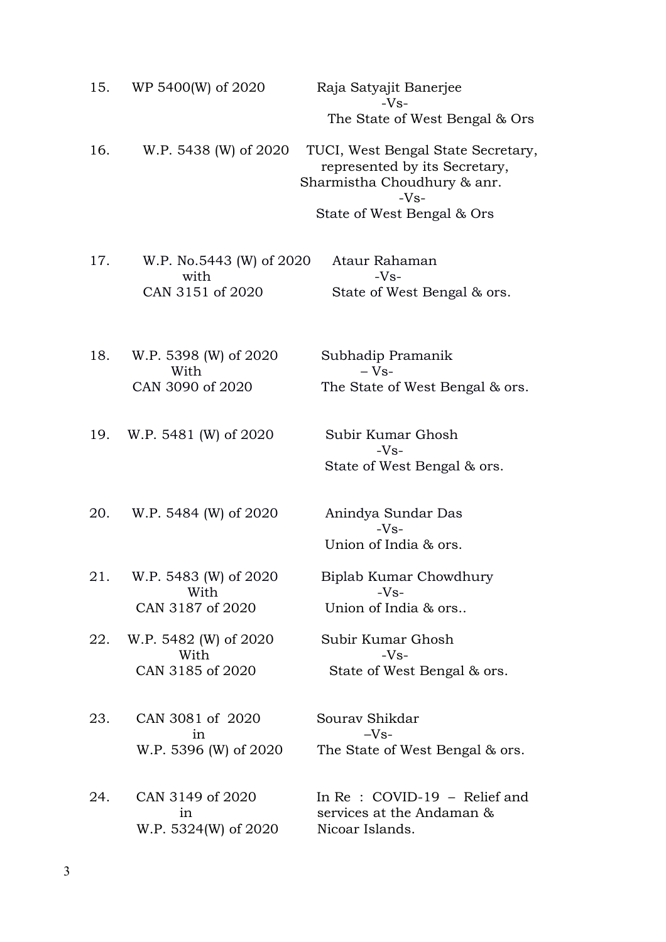| 15. | WP 5400(W) of 2020               | Raja Satyajit Banerjee<br>$-Vs-$                                                                             |
|-----|----------------------------------|--------------------------------------------------------------------------------------------------------------|
|     |                                  | The State of West Bengal & Ors                                                                               |
| 16. | W.P. 5438 (W) of 2020            | TUCI, West Bengal State Secretary,<br>represented by its Secretary,<br>Sharmistha Choudhury & anr.<br>$-Vs-$ |
|     |                                  | State of West Bengal & Ors                                                                                   |
| 17. | W.P. No.5443 (W) of 2020<br>with | Ataur Rahaman<br>$-Vs-$                                                                                      |
|     | CAN 3151 of 2020                 | State of West Bengal & ors.                                                                                  |
| 18. | W.P. 5398 (W) of 2020            | Subhadip Pramanik                                                                                            |
|     | With                             | $-Vs-$                                                                                                       |
|     | CAN 3090 of 2020                 | The State of West Bengal & ors.                                                                              |
| 19. | W.P. 5481 (W) of 2020            | Subir Kumar Ghosh<br>$-Vs-$                                                                                  |
|     |                                  | State of West Bengal & ors.                                                                                  |
| 20. | W.P. 5484 (W) of 2020            | Anindya Sundar Das                                                                                           |
|     |                                  | $-Vs-$<br>Union of India & ors.                                                                              |
| 21. | W.P. 5483 (W) of 2020            | Biplab Kumar Chowdhury                                                                                       |
|     | With<br>CAN 3187 of 2020         | $-Vs-$<br>Union of India & ors                                                                               |
| 22. | W.P. 5482 (W) of 2020            | Subir Kumar Ghosh                                                                                            |
|     | With<br>CAN 3185 of 2020         | $-Vs-$<br>State of West Bengal & ors.                                                                        |
| 23. | CAN 3081 of 2020                 | Sourav Shikdar                                                                                               |
|     | in                               | $-Vs-$                                                                                                       |
|     | W.P. 5396 (W) of 2020            | The State of West Bengal & ors.                                                                              |
| 24. | CAN 3149 of 2020<br>in           | In $Re: COVID-19$ – Relief and<br>services at the Andaman &                                                  |
|     | W.P. 5324(W) of 2020             | Nicoar Islands.                                                                                              |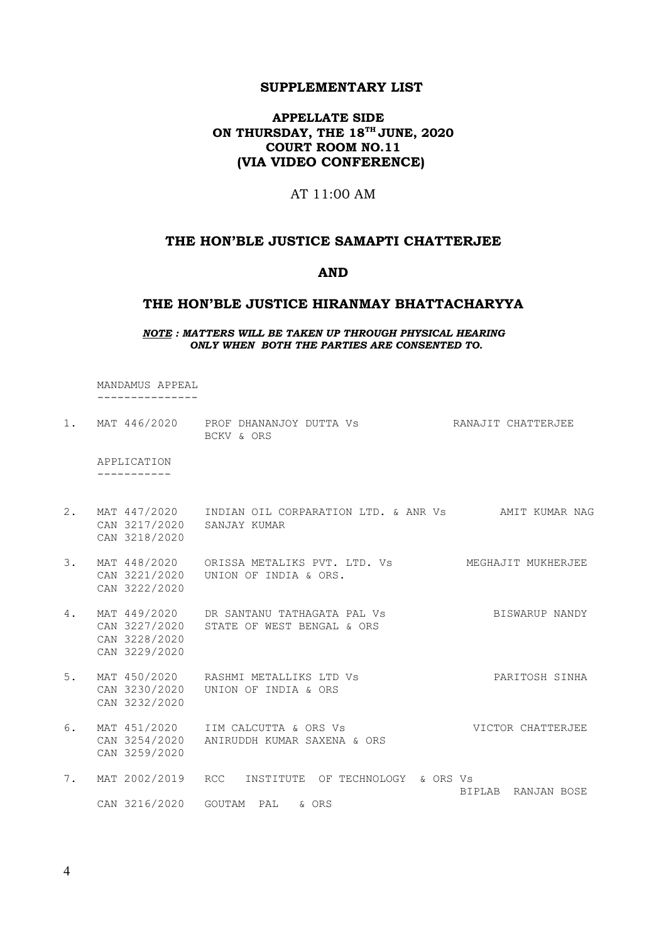## **SUPPLEMENTARY LIST**

# **APPELLATE SIDE ON THURSDAY, THE 18TH JUNE, 2020 COURT ROOM NO.11 (VIA VIDEO CONFERENCE)**

# AT 11:00 AM

## **THE HON'BLE JUSTICE SAMAPTI CHATTERJEE**

#### **AND**

# **THE HON'BLE JUSTICE HIRANMAY BHATTACHARYYA**

#### *NOTE : MATTERS WILL BE TAKEN UP THROUGH PHYSICAL HEARING ONLY WHEN BOTH THE PARTIES ARE CONSENTED TO.*

 MANDAMUS APPEAL ---------------

| 1. |                                             | MAT 446/2020 PROF DHANANJOY DUTTA VS<br>BCKV & ORS                                   | RANAJIT CHATTERJEE |
|----|---------------------------------------------|--------------------------------------------------------------------------------------|--------------------|
|    | APPLICATION                                 |                                                                                      |                    |
| 2. | CAN 3217/2020 SANJAY KUMAR<br>CAN 3218/2020 |                                                                                      |                    |
| 3. | CAN 3222/2020                               | MAT 448/2020 ORISSA METALIKS PVT. LTD. Vs<br>CAN 3221/2020    UNION OF INDIA & ORS.  | MEGHAJIT MUKHERJEE |
| 4. | CAN 3228/2020<br>CAN 3229/2020              | MAT 449/2020 DR SANTANU TATHAGATA PAL VS<br>CAN 3227/2020 STATE OF WEST BENGAL & ORS | BISWARUP NANDY     |
| 5. | CAN 3232/2020                               | MAT 450/2020 RASHMI METALLIKS LTD Vs<br>CAN 3230/2020 UNION OF INDIA & ORS           | PARITOSH SINHA     |
| 6. | CAN 3259/2020                               | MAT 451/2020 IIM CALCUTTA & ORS Vs<br>CAN 3254/2020 ANIRUDDH KUMAR SAXENA & ORS      | VICTOR CHATTERJEE  |
| 7. | MAT 2002/2019 RCC                           | INSTITUTE OF TECHNOLOGY & ORS Vs                                                     | BIPLAB RANJAN BOSE |
|    | CAN 3216/2020 GOUTAM PAL                    | & ORS                                                                                |                    |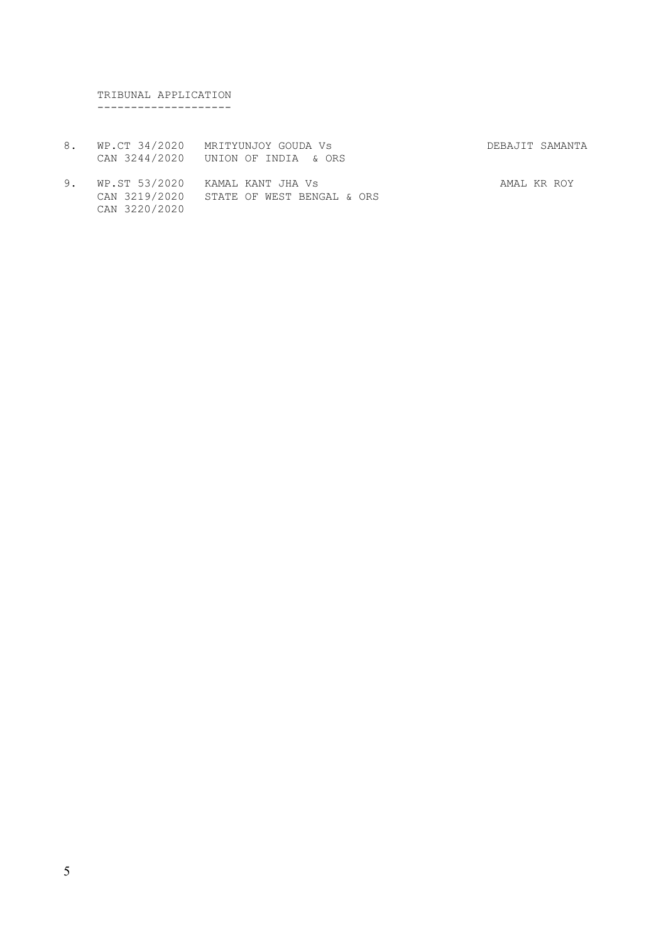TRIBUNAL APPLICATION --------------------

- 8. WP.CT 34/2020 MRITYUNJOY GOUDA Vs **DEBAJIT SAMANTA** CAN 3244/2020 UNION OF INDIA & ORS
- 9. WP.ST 53/2020 KAMAL KANT JHA Vs **AMAL KR ROY**  CAN 3219/2020 STATE OF WEST BENGAL & ORS CAN 3220/2020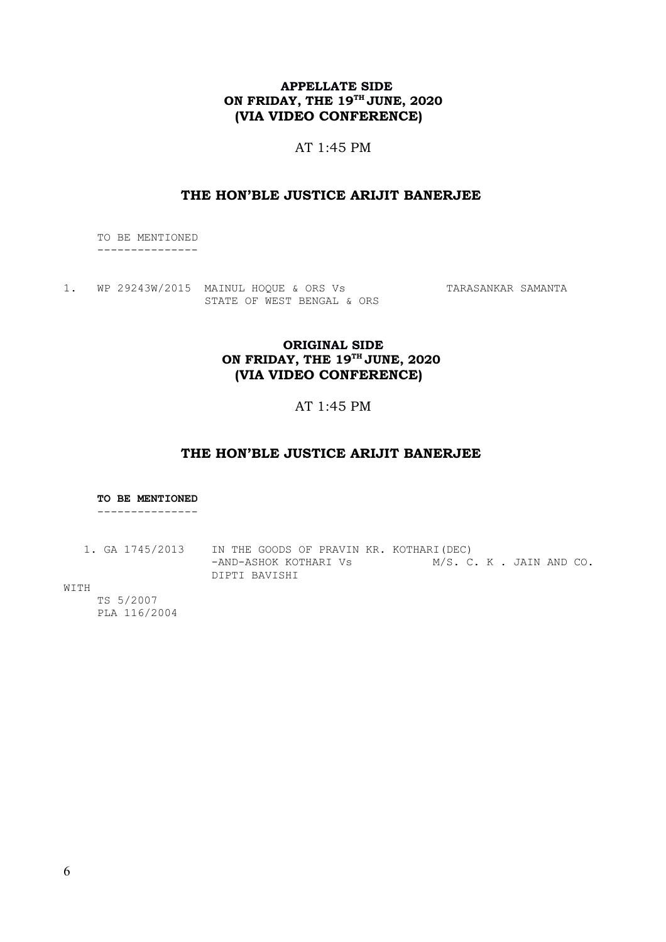# **APPELLATE SIDE ON FRIDAY, THE 19TH JUNE, 2020 (VIA VIDEO CONFERENCE)**

### AT 1:45 PM

### **THE HON'BLE JUSTICE ARIJIT BANERJEE**

 TO BE MENTIONED ---------------

1. WP 29243W/2015 MAINUL HOQUE & ORS Vs TARASANKAR SAMANTA STATE OF WEST BENGAL & ORS

## **ORIGINAL SIDE ON FRIDAY, THE 19TH JUNE, 2020 (VIA VIDEO CONFERENCE)**

## AT 1:45 PM

### **THE HON'BLE JUSTICE ARIJIT BANERJEE**

#### **TO BE MENTIONED**

---------------

1. GA 1745/2013 IN THE GOODS OF PRAVIN KR. KOTHARI(DEC) -AND-ASHOK KOTHARI Vs M/S. C. K. JAIN AND CO. DIPTI BAVISHI

WITH

 TS 5/2007 PLA 116/2004